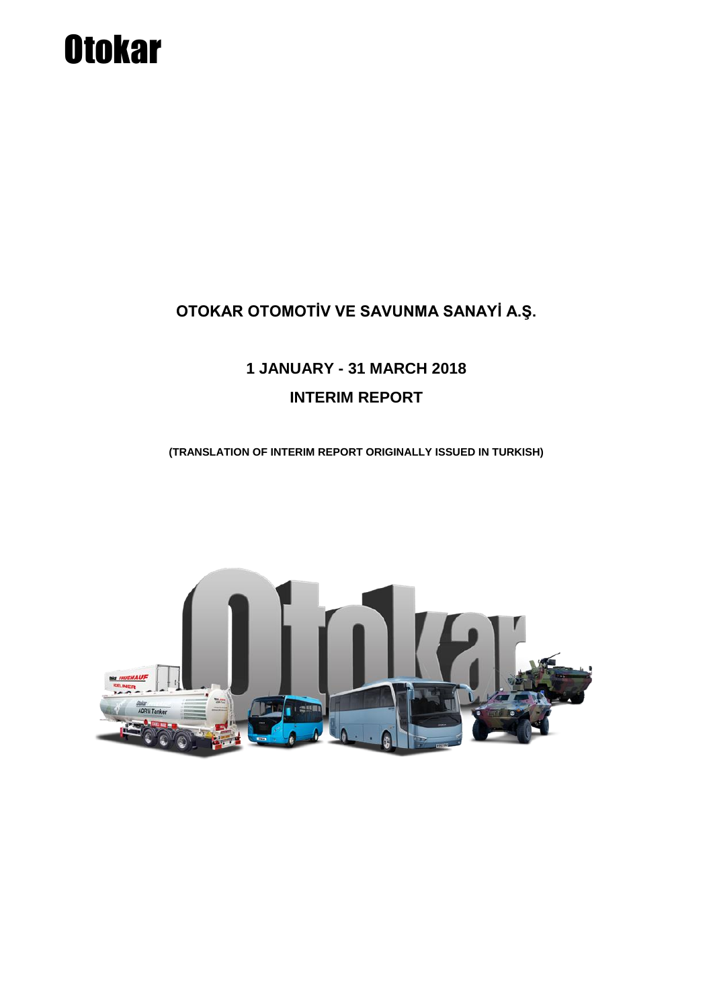### **OTOKAR OTOMOTİV VE SAVUNMA SANAYİ A.Ş.**

### **1 JANUARY - 31 MARCH 2018 INTERIM REPORT**

**(TRANSLATION OF INTERIM REPORT ORIGINALLY ISSUED IN TURKISH)**

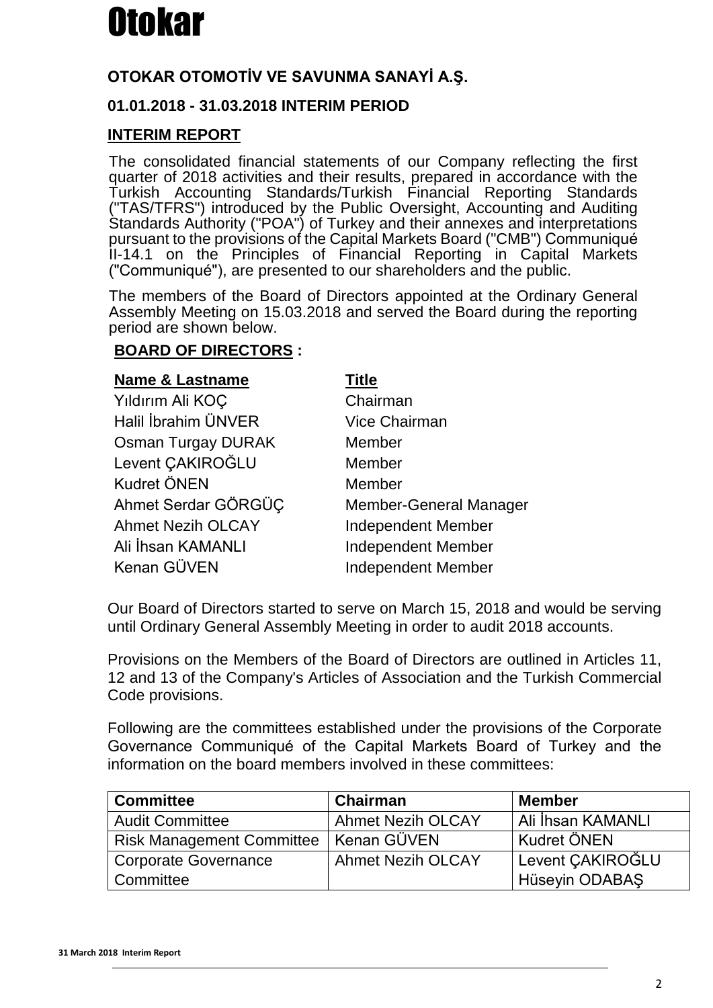### **OTOKAR OTOMOTİV VE SAVUNMA SANAYİ A.Ş.**

### **01.01.2018 - 31.03.2018 INTERIM PERIOD**

### **INTERIM REPORT**

The consolidated financial statements of our Company reflecting the first quarter of 2018 activities and their results, prepared in accordance with the Turkish Accounting Standards/Turkish Financial Reporting Standards ("TAS/TFRS") introduced by the Public Oversight, Accounting and Auditing Standards Authority ("POA") of Turkey and their annexes and interpretations pursuant to the provisions of the Capital Markets Board ("CMB") Communiqué II-14.1 on the Principles of Financial Reporting in Capital Markets ("Communiqué"), are presented to our shareholders and the public.

The members of the Board of Directors appointed at the Ordinary General Assembly Meeting on 15.03.2018 and served the Board during the reporting period are shown below.

### **BOARD OF DIRECTORS :**

| <b>Name &amp; Lastname</b> | Title                     |
|----------------------------|---------------------------|
| Yıldırım Ali KOÇ           | Chairman                  |
| Halil İbrahim ÜNVER        | <b>Vice Chairman</b>      |
| <b>Osman Turgay DURAK</b>  | Member                    |
| Levent CAKIROĞLU           | Member                    |
| <b>Kudret ÖNEN</b>         | Member                    |
| Ahmet Serdar GÖRGÜÇ        | Member-General Manager    |
| <b>Ahmet Nezih OLCAY</b>   | <b>Independent Member</b> |
| Ali İhsan KAMANLI          | <b>Independent Member</b> |
| Kenan GÜVEN                | <b>Independent Member</b> |

Our Board of Directors started to serve on March 15, 2018 and would be serving until Ordinary General Assembly Meeting in order to audit 2018 accounts.

Provisions on the Members of the Board of Directors are outlined in Articles 11, 12 and 13 of the Company's Articles of Association and the Turkish Commercial Code provisions.

Following are the committees established under the provisions of the Corporate Governance Communiqué of the Capital Markets Board of Turkey and the information on the board members involved in these committees:

| <b>Committee</b>                 | Chairman                 | <b>Member</b>            |
|----------------------------------|--------------------------|--------------------------|
| <b>Audit Committee</b>           | <b>Ahmet Nezih OLCAY</b> | <b>Ali İhsan KAMANLI</b> |
| <b>Risk Management Committee</b> | ∣ Kenan GÜVEN            | Kudret ÖNEN              |
| <b>Corporate Governance</b>      | <b>Ahmet Nezih OLCAY</b> | Levent CAKIROĞLU         |
| Committee                        |                          | <b>Hüseyin ODABAŞ</b>    |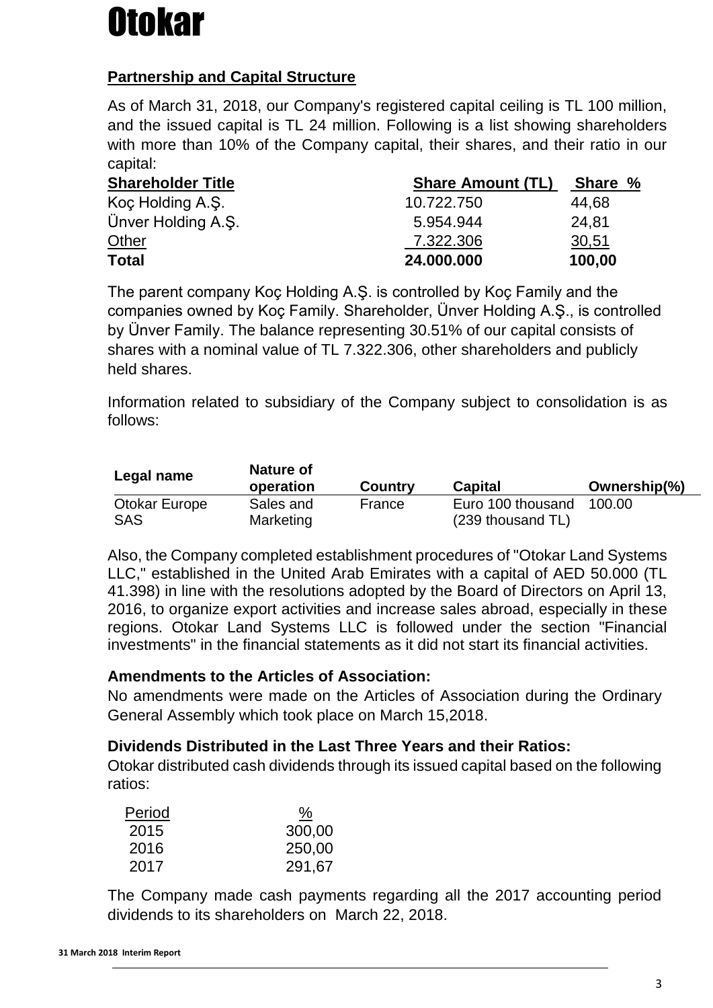### **Partnership and Capital Structure**

As of March 31, 2018, our Company's registered capital ceiling is TL 100 million, and the issued capital is TL 24 million. Following is a list showing shareholders with more than 10% of the Company capital, their shares, and their ratio in our capital:

| <b>Shareholder Title</b> | <b>Share Amount (TL)</b> | Share % |  |
|--------------------------|--------------------------|---------|--|
| Koç Holding A.Ş.         | 10.722.750               | 44,68   |  |
| Ünver Holding A.S.       | 5.954.944                | 24,81   |  |
| <b>Other</b>             | 7.322.306                | 30,51   |  |
| <b>Total</b>             | 24.000.000               | 100,00  |  |

The parent company Koç Holding A.Ş. is controlled by Koç Family and the companies owned by Koç Family. Shareholder, Ünver Holding A.Ş., is controlled by Ünver Family. The balance representing 30.51% of our capital consists of shares with a nominal value of TL 7.322.306, other shareholders and publicly held shares.

Information related to subsidiary of the Company subject to consolidation is as follows:

| Legal name    | Nature of<br>operation | <b>Country</b> | <b>Capital</b>    | Ownership(%) |
|---------------|------------------------|----------------|-------------------|--------------|
| Otokar Europe | Sales and              | France         | Euro 100 thousand | 100.00       |
| SAS           | Marketing              |                | (239 thousand TL) |              |

Also, the Company completed establishment procedures of "Otokar Land Systems LLC," established in the United Arab Emirates with a capital of AED 50.000 (TL 41.398) in line with the resolutions adopted by the Board of Directors on April 13, 2016, to organize export activities and increase sales abroad, especially in these regions. Otokar Land Systems LLC is followed under the section "Financial investments" in the financial statements as it did not start its financial activities.

### **Amendments to the Articles of Association:**

No amendments were made on the Articles of Association during the Ordinary General Assembly which took place on March 15,2018.

### **Dividends Distributed in the Last Three Years and their Ratios:**

Otokar distributed cash dividends through its issued capital based on the following ratios:

| Period | <u>%</u> |
|--------|----------|
| 2015   | 300,00   |
| 2016   | 250,00   |
| 2017   | 291,67   |

The Company made cash payments regarding all the 2017 accounting period dividends to its shareholders on March 22, 2018.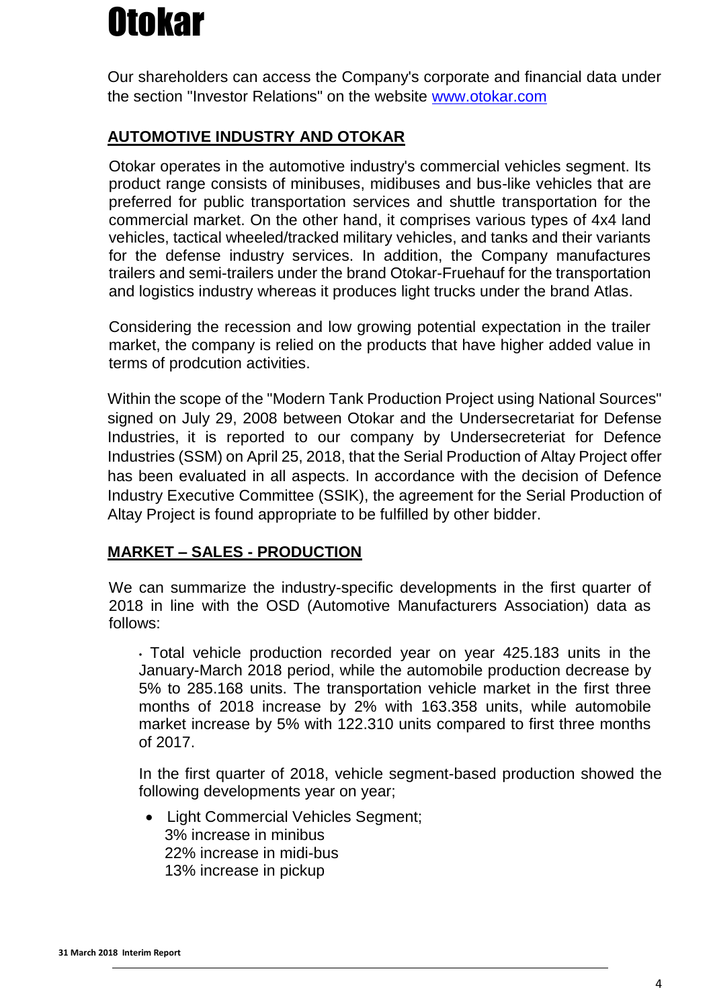Our shareholders can access the Company's corporate and financial data under the section "Investor Relations" on the website [www.otokar.com](http://www.otokar.com/)

### **AUTOMOTIVE INDUSTRY AND OTOKAR**

Otokar operates in the automotive industry's commercial vehicles segment. Its product range consists of minibuses, midibuses and bus-like vehicles that are preferred for public transportation services and shuttle transportation for the commercial market. On the other hand, it comprises various types of 4x4 land vehicles, tactical wheeled/tracked military vehicles, and tanks and their variants for the defense industry services. In addition, the Company manufactures trailers and semi-trailers under the brand Otokar-Fruehauf for the transportation and logistics industry whereas it produces light trucks under the brand Atlas.

Considering the recession and low growing potential expectation in the trailer market, the company is relied on the products that have higher added value in terms of prodcution activities.

Within the scope of the "Modern Tank Production Project using National Sources" signed on July 29, 2008 between Otokar and the Undersecretariat for Defense Industries, it is reported to our company by Undersecreteriat for Defence Industries (SSM) on April 25, 2018, that the Serial Production of Altay Project offer has been evaluated in all aspects. In accordance with the decision of Defence Industry Executive Committee (SSIK), the agreement for the Serial Production of Altay Project is found appropriate to be fulfilled by other bidder.

### **MARKET – SALES - PRODUCTION**

We can summarize the industry-specific developments in the first quarter of 2018 in line with the OSD (Automotive Manufacturers Association) data as follows:

• Total vehicle production recorded year on year 425.183 units in the January-March 2018 period, while the automobile production decrease by 5% to 285.168 units. The transportation vehicle market in the first three months of 2018 increase by 2% with 163.358 units, while automobile market increase by 5% with 122.310 units compared to first three months of 2017.

In the first quarter of 2018, vehicle segment-based production showed the following developments year on year;

 Light Commercial Vehicles Segment; 3% increase in minibus 22% increase in midi-bus 13% increase in pickup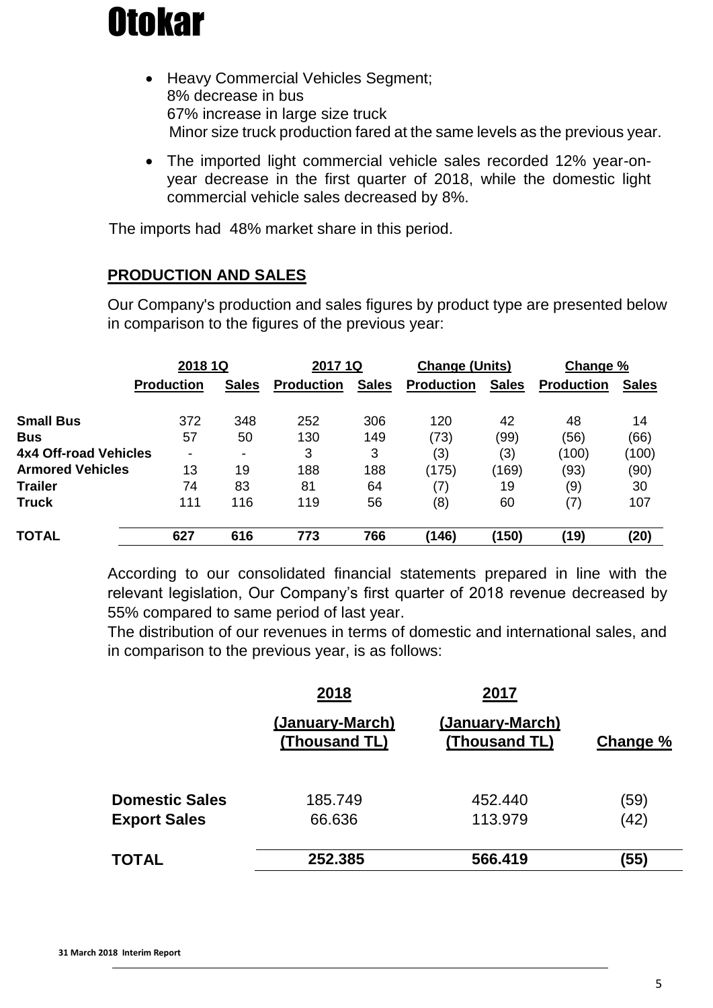

- Heavy Commercial Vehicles Segment; 8% decrease in bus 67% increase in large size truck Minor size truck production fared at the same levels as the previous year.
- The imported light commercial vehicle sales recorded 12% year-onyear decrease in the first quarter of 2018, while the domestic light commercial vehicle sales decreased by 8%.

The imports had 48% market share in this period.

#### **PRODUCTION AND SALES**

Our Company's production and sales figures by product type are presented below in comparison to the figures of the previous year:

|                         | 2018 1Q                  |                          | 2017 1Q           |              | <b>Change (Units)</b> |              | Change %          |              |
|-------------------------|--------------------------|--------------------------|-------------------|--------------|-----------------------|--------------|-------------------|--------------|
|                         | <b>Production</b>        | <b>Sales</b>             | <b>Production</b> | <b>Sales</b> | <b>Production</b>     | <b>Sales</b> | <b>Production</b> | <b>Sales</b> |
| <b>Small Bus</b>        | 372                      | 348                      | 252               | 306          | 120                   | 42           | 48                | 14           |
| <b>Bus</b>              | 57                       | 50                       | 130               | 149          | (73)                  | (99)         | (56)              | (66)         |
| 4x4 Off-road Vehicles   | $\overline{\phantom{a}}$ | $\overline{\phantom{a}}$ | 3                 | 3            | (3)                   | (3)          | (100)             | (100)        |
| <b>Armored Vehicles</b> | 13                       | 19                       | 188               | 188          | (175)                 | (169)        | (93)              | (90)         |
| <b>Trailer</b>          | 74                       | 83                       | 81                | 64           | (7)                   | 19           | (9)               | 30           |
| <b>Truck</b>            | 111                      | 116                      | 119               | 56           | (8)                   | 60           | (7)               | 107          |
| <b>TOTAL</b>            | 627                      | 616                      | 773               | 766          | (146)                 | (150)        | (19)              | (20)         |

According to our consolidated financial statements prepared in line with the relevant legislation, Our Company's first quarter of 2018 revenue decreased by 55% compared to same period of last year.

The distribution of our revenues in terms of domestic and international sales, and in comparison to the previous year, is as follows:

|                       | 2018                             | 2017                             |          |
|-----------------------|----------------------------------|----------------------------------|----------|
|                       | (January-March)<br>(Thousand TL) | (January-March)<br>(Thousand TL) | Change % |
| <b>Domestic Sales</b> | 185.749                          | 452.440                          | (59)     |
| <b>Export Sales</b>   | 66.636                           | 113.979                          | (42)     |
| <b>TOTAL</b>          | 252.385                          | 566.419                          | (55)     |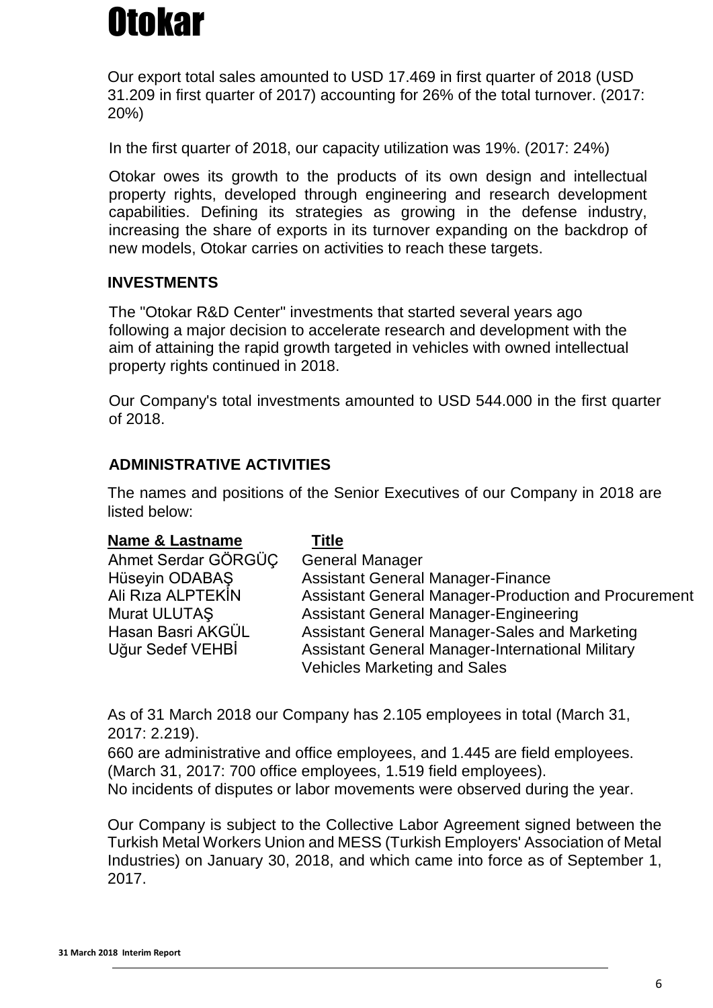Our export total sales amounted to USD 17.469 in first quarter of 2018 (USD 31.209 in first quarter of 2017) accounting for 26% of the total turnover. (2017: 20%)

In the first quarter of 2018, our capacity utilization was 19%. (2017: 24%)

Otokar owes its growth to the products of its own design and intellectual property rights, developed through engineering and research development capabilities. Defining its strategies as growing in the defense industry, increasing the share of exports in its turnover expanding on the backdrop of new models, Otokar carries on activities to reach these targets.

### **INVESTMENTS**

The "Otokar R&D Center" investments that started several years ago following a major decision to accelerate research and development with the aim of attaining the rapid growth targeted in vehicles with owned intellectual property rights continued in 2018.

Our Company's total investments amounted to USD 544.000 in the first quarter of 2018.

### **ADMINISTRATIVE ACTIVITIES**

The names and positions of the Senior Executives of our Company in 2018 are listed below:

| <b>Name &amp; Lastname</b> | <b>Title</b>                                            |
|----------------------------|---------------------------------------------------------|
| Ahmet Serdar GÖRGÜÇ        | <b>General Manager</b>                                  |
| Hüseyin ODABAŞ             | <b>Assistant General Manager-Finance</b>                |
| Ali Riza ALPTEKIN          | Assistant General Manager-Production and Procurement    |
| Murat ULUTAŞ               | <b>Assistant General Manager-Engineering</b>            |
| Hasan Basri AKGÜL          | Assistant General Manager-Sales and Marketing           |
| Uğur Sedef VEHBİ           | <b>Assistant General Manager-International Military</b> |
|                            | <b>Vehicles Marketing and Sales</b>                     |

As of 31 March 2018 our Company has 2.105 employees in total (March 31, 2017: 2.219).

660 are administrative and office employees, and 1.445 are field employees. (March 31, 2017: 700 office employees, 1.519 field employees). No incidents of disputes or labor movements were observed during the year.

Our Company is subject to the Collective Labor Agreement signed between the Turkish Metal Workers Union and MESS (Turkish Employers' Association of Metal Industries) on January 30, 2018, and which came into force as of September 1, 2017.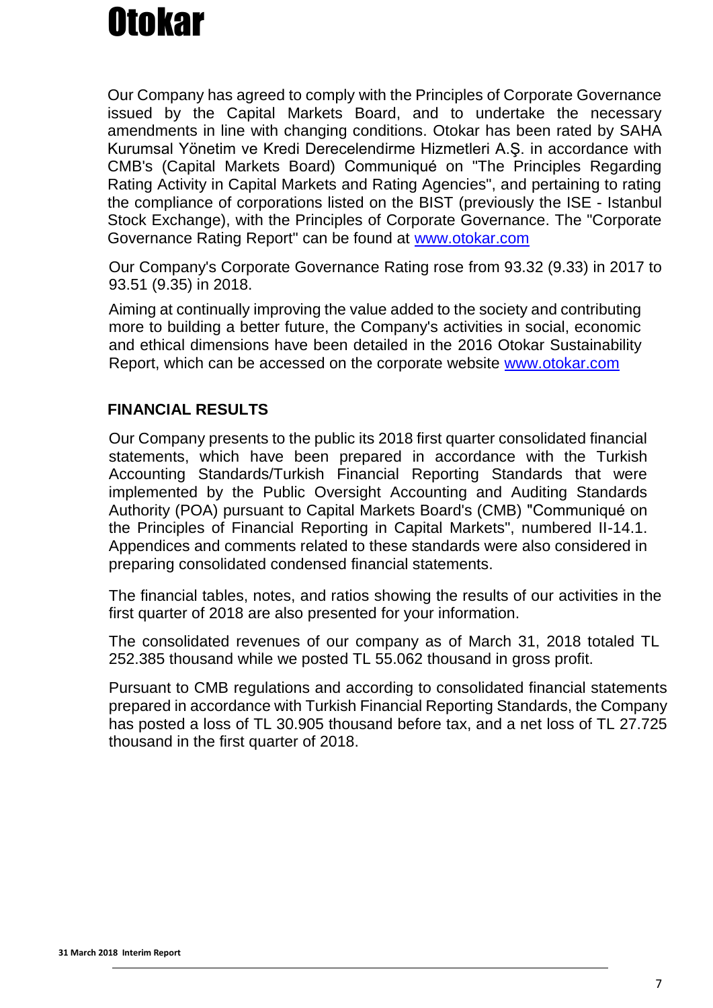Our Company has agreed to comply with the Principles of Corporate Governance issued by the Capital Markets Board, and to undertake the necessary amendments in line with changing conditions. Otokar has been rated by SAHA Kurumsal Yönetim ve Kredi Derecelendirme Hizmetleri A.Ş. in accordance with CMB's (Capital Markets Board) Communiqué on "The Principles Regarding Rating Activity in Capital Markets and Rating Agencies", and pertaining to rating the compliance of corporations listed on the BIST (previously the ISE - Istanbul Stock Exchange), with the Principles of Corporate Governance. The "Corporate Governance Rating Report" can be found at [www.otokar.com](http://www.otokar.com/)

Our Company's Corporate Governance Rating rose from 93.32 (9.33) in 2017 to 93.51 (9.35) in 2018.

Aiming at continually improving the value added to the society and contributing more to building a better future, the Company's activities in social, economic and ethical dimensions have been detailed in the 2016 Otokar Sustainability Report, which can be accessed on the corporate website [www.otokar.com](http://www.otokar.com/)

### **FINANCIAL RESULTS**

Our Company presents to the public its 2018 first quarter consolidated financial statements, which have been prepared in accordance with the Turkish Accounting Standards/Turkish Financial Reporting Standards that were implemented by the Public Oversight Accounting and Auditing Standards Authority (POA) pursuant to Capital Markets Board's (CMB) "Communiqué on the Principles of Financial Reporting in Capital Markets", numbered II-14.1. Appendices and comments related to these standards were also considered in preparing consolidated condensed financial statements.

The financial tables, notes, and ratios showing the results of our activities in the first quarter of 2018 are also presented for your information.

The consolidated revenues of our company as of March 31, 2018 totaled TL 252.385 thousand while we posted TL 55.062 thousand in gross profit.

Pursuant to CMB regulations and according to consolidated financial statements prepared in accordance with Turkish Financial Reporting Standards, the Company has posted a loss of TL 30.905 thousand before tax, and a net loss of TL 27.725 thousand in the first quarter of 2018.